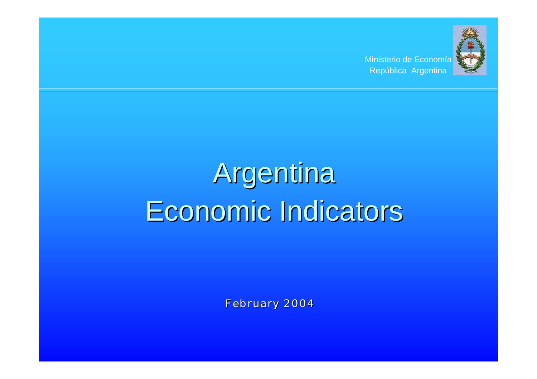Ministerio de Economía República Argentina



# Argentina Economic Indicators

February 2004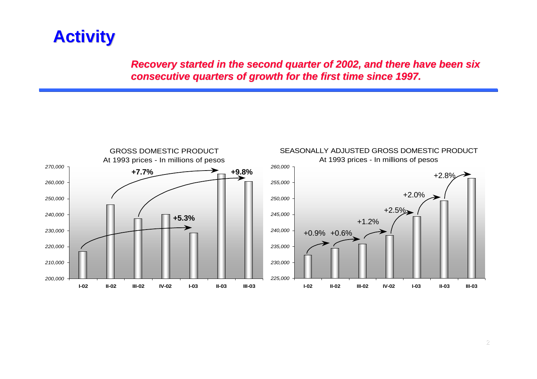*Recovery started in the second quarter of 2002, and there have been six consecutive quarters of growth for the first time since 1997.*

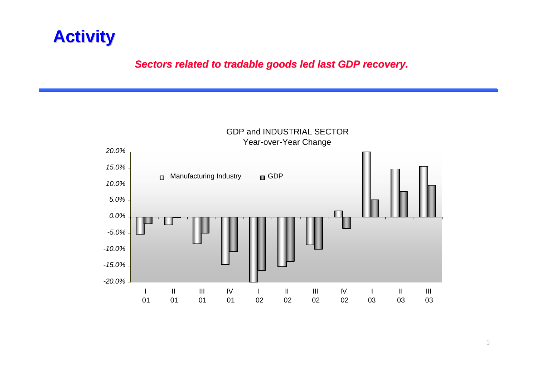#### *Sectors related to tradable goods led last GDP recovery.*

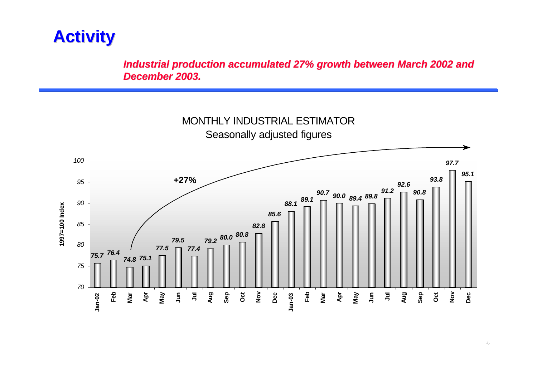*Industrial production accumulated 27% growth between March 2002 and December 2003.*

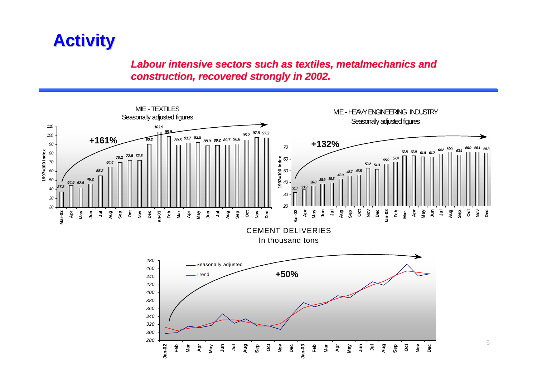*Labour intensive sectors such as textiles, metalmechanics and construction, recovered strongly in 2002.*

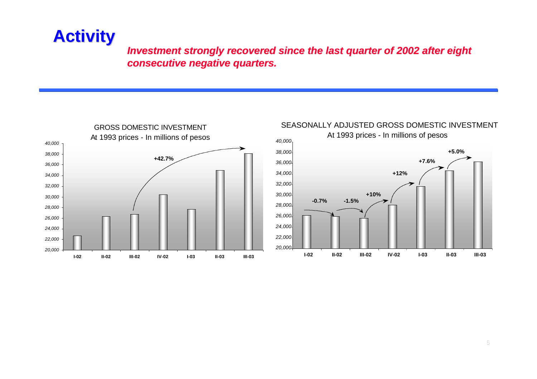#### *Investment strongly recovered since the last quarter of 2002 after eight consecutive negative quarters.*





#### SEASONALLY ADJUSTED GROSS DOMESTIC INVESTMENT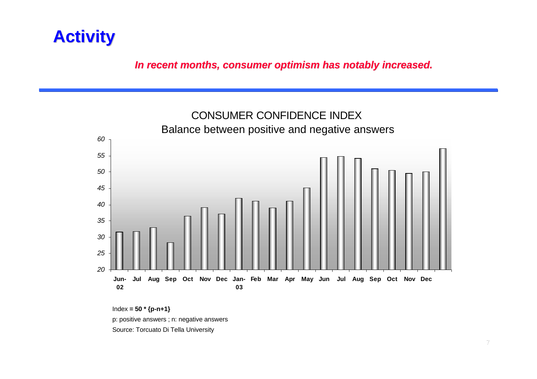*In recent months, consumer optimism has notably increased.*



Index **= 50 \* {p-n+1}**

p: positive answers ; n: negative answers

Source: Torcuato Di Tella University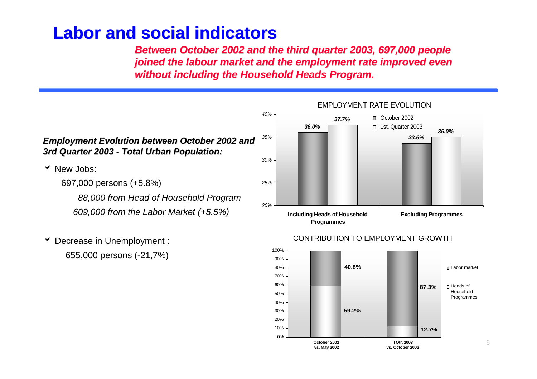*Between October 2002 and the third quarter 2003, 697,000 people joined the labour market and the employment rate improved even without including the Household Heads Program.*



**Decrease in Unemployment:** 655,000 persons (-21,7%)



#### CONTRIBUTION TO EMPLOYMENT GROWTH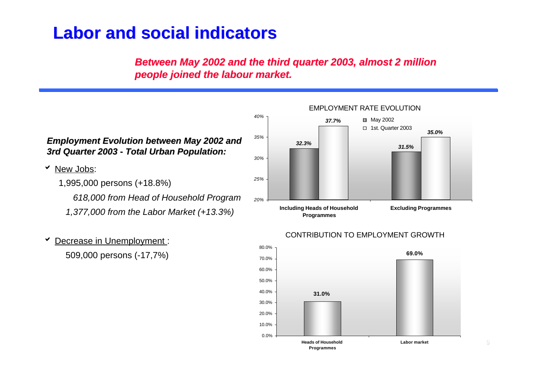#### *Between May 2002 and the third quarter 2003, almost 2 million people joined the labour market.*

*40%*



 *1,377,000 from the Labor Market (+13.3%)*

#### EMPLOYMENT RATE EVOLUTION

*37.7%*



**May 2002** □ 1st. Quarter 2003

*35.0%*

#### **Decrease in Unemployment:** 509,000 persons (-17,7%)

#### **69.0% 31.0%** 0.0% 10.0% 20.0% 30.0% 40.0% 50.0% 60.0% 70.0% 80.0% **Heads of Household Programmes Labor market**

CONTRIBUTION TO EMPLOYMENT GROWTH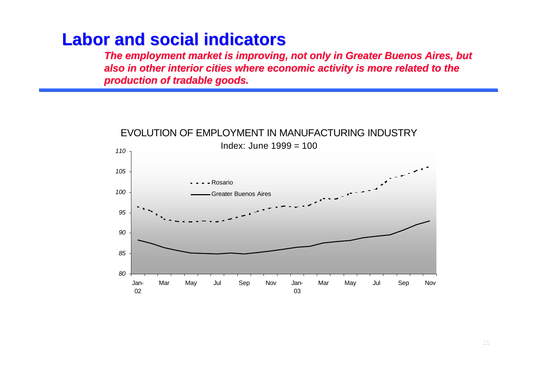*The employment market is improving, not only in Greater Buenos Aires, but also in other interior cities where economic activity is more related to the production of tradable goods.*

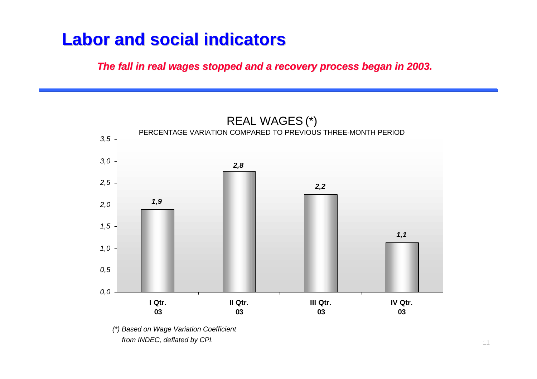*The fall in real wages stopped and a recovery process began in 2003.*



*(\*) Based on Wage Variation Coefficient from INDEC, deflated by CPI.*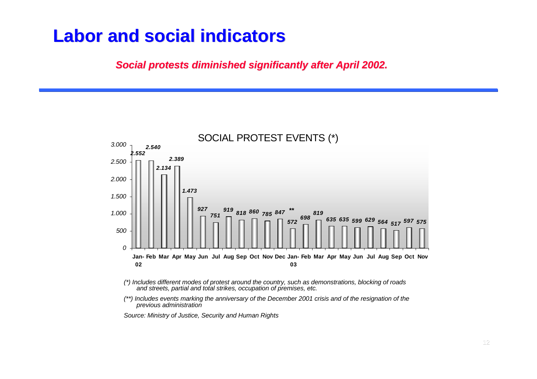*Social protests diminished significantly after April 2002.*



- *(\*) Includes different modes of protest around the country, such as demonstrations, blocking of roads and streets, partial and total strikes, occupation of premises, etc.*
- *(\*\*) Includes events marking the anniversary of the December 2001 crisis and of the resignation of the previous administration*

*Source: Ministry of Justice, Security and Human Rights*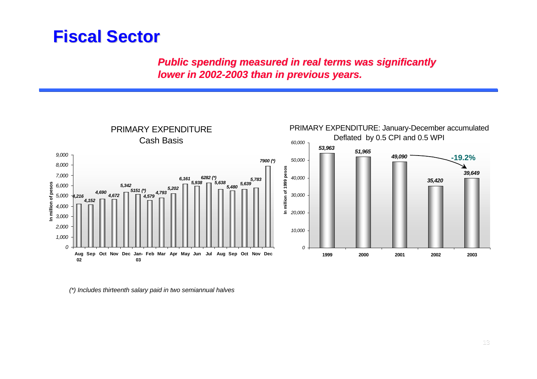*Public spending measured in real terms was significantly lower in 2002-2003 than in previous years.*



*(\*) Includes thirteenth salary paid in two semiannual halves*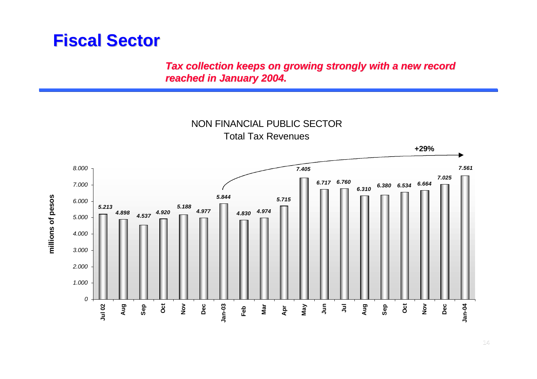*Tax collection keeps on growing strongly with a new record reached in January 2004.*

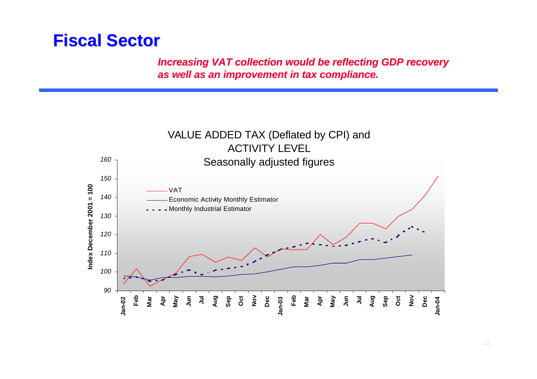*Increasing VAT collection would be reflecting GDP recovery as well as an improvement in tax compliance.*

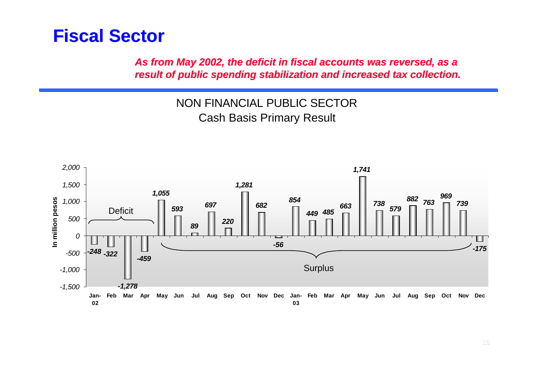*As from May 2002, the deficit in fiscal accounts was reversed, as a result of public spending stabilization and increased tax collection.*

> NON FINANCIAL PUBLIC SECTOR Cash Basis Primary Result

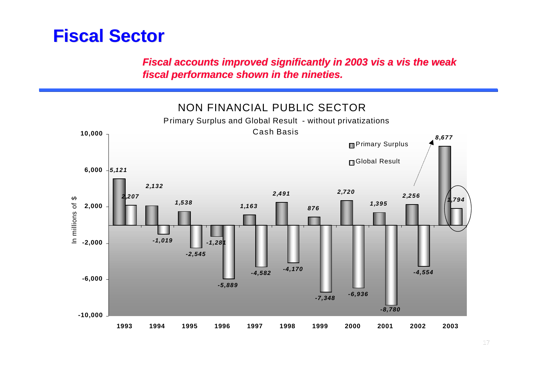*Fiscal accounts improved significantly in 2003 vis a vis the weak fiscal performance shown in the nineties.*

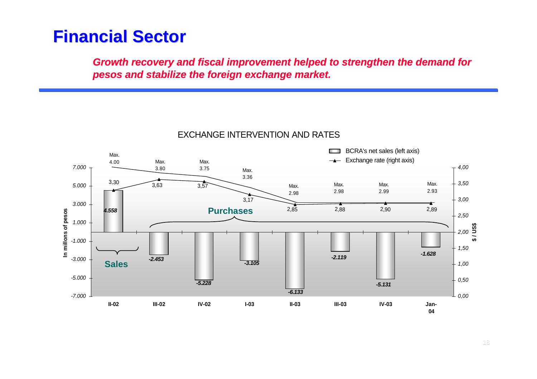*Growth recovery and fiscal improvement helped to strengthen the demand for pesos and stabilize the foreign exchange market.*



#### EXCHANGE INTERVENTION AND RATES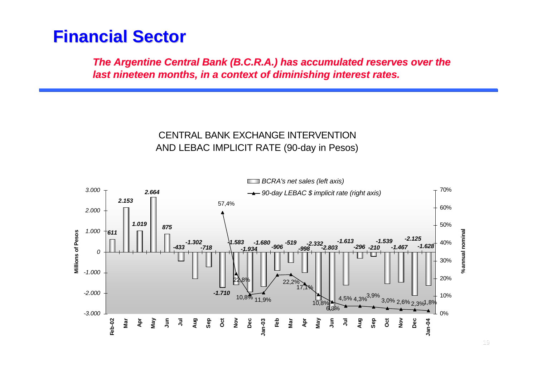*The Argentine Central Bank (B.C.R.A.) has accumulated reserves over the last nineteen months, in a context of diminishing interest rates.*

#### CENTRAL BANK EXCHANGE INTERVENTION AND LEBAC IMPLICIT RATE (90-day in Pesos)

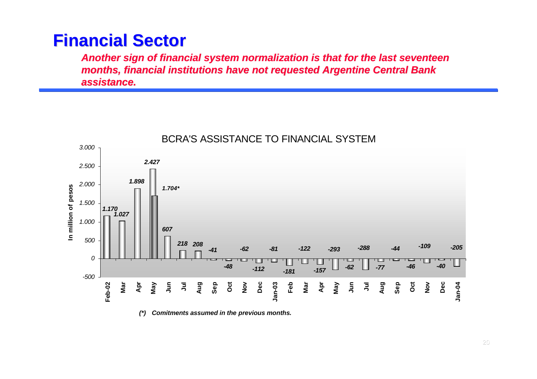*Another sign of financial system normalization is that for the last seventeen months, financial institutions have not requested Argentine Central Bank assistance.*



*(\*) Comitments assumed in the previous months.*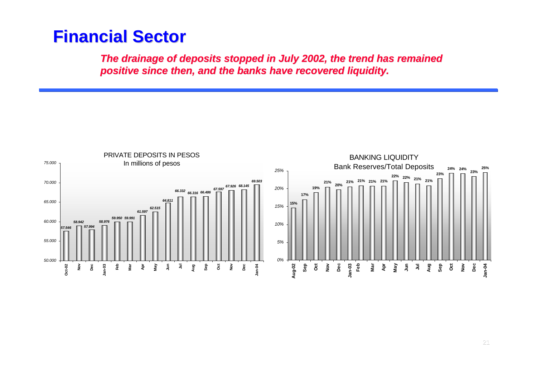*The drainage of deposits stopped in July 2002, the trend has remained positive since then, and the banks have recovered liquidity.*

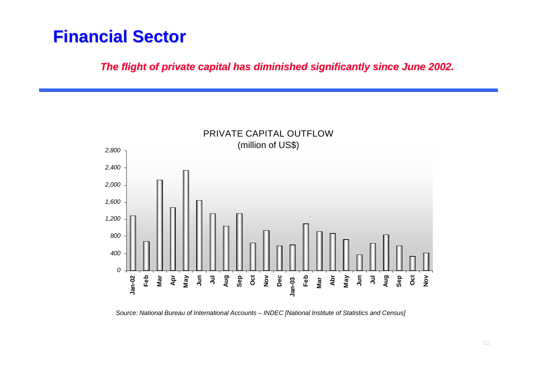*The flight of private capital has diminished significantly since June 2002.*



*Source: National Bureau of International Accounts – INDEC [National Institute of Statistics and Census]*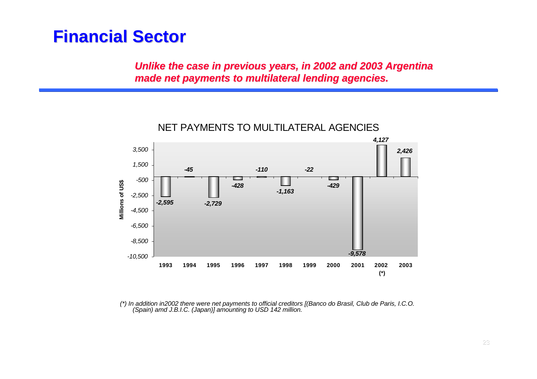*Unlike the case in previous years, in 2002 and 2003 Argentina made net payments to multilateral lending agencies.*



*(\*) In addition in2002 there were net payments to official creditors [(Banco do Brasil, Club de Paris, I.C.O. (Spain) amd J.B.I.C. (Japan)] amounting to USD 142 million.*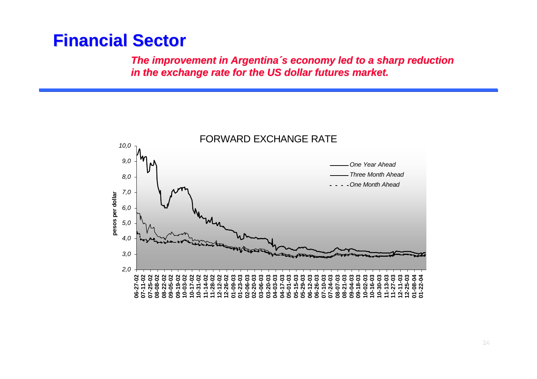*The improvement in Argentina´s economy led to a sharp reduction in the exchange rate for the US dollar futures market.*

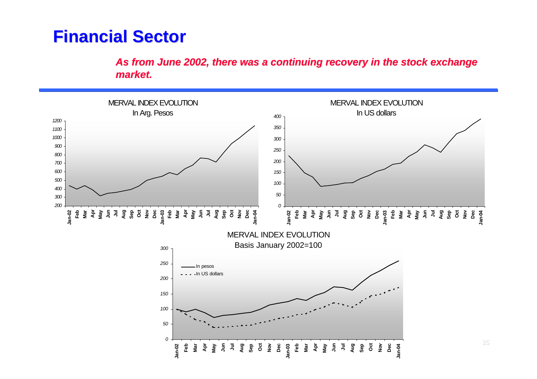*As from June 2002, there was a continuing recovery in the stock exchange market.*

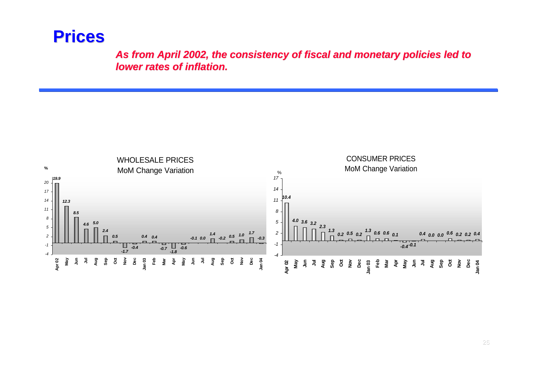#### **Prices**

*As from April 2002, the consistency of fiscal and monetary policies led to lower rates of inflation.*

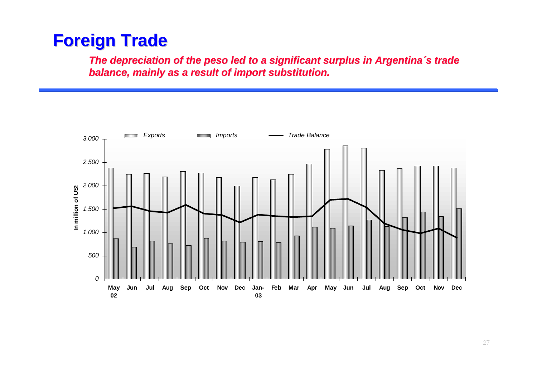*The depreciation of the peso led to a significant surplus in Argentina´s trade balance, mainly as a result of import substitution.*

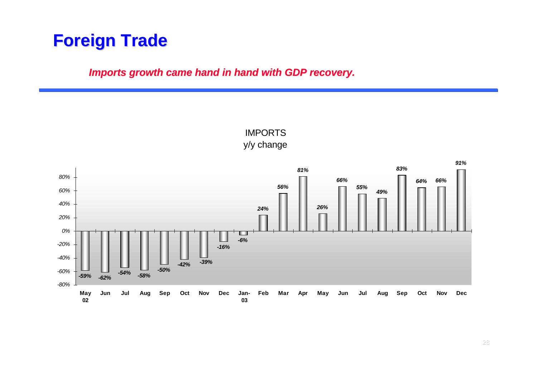#### *Imports growth came hand in hand with GDP recovery.*

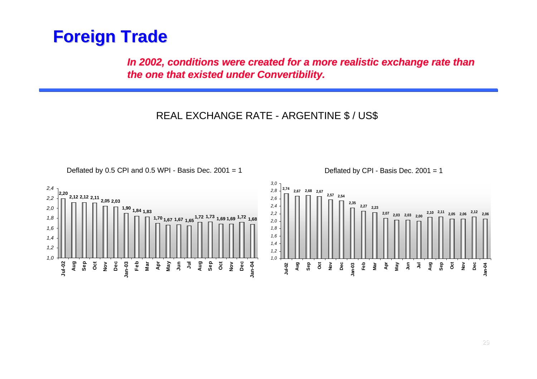*In 2002, conditions were created for a more realistic exchange rate than the one that existed under Convertibility.*

REAL EXCHANGE RATE - ARGENTINE \$ / US\$



Deflated by 0.5 CPI and 0.5 WPI - Basis Dec.  $2001 = 1$ 

Deflated by CPI - Basis Dec. 2001 = 1